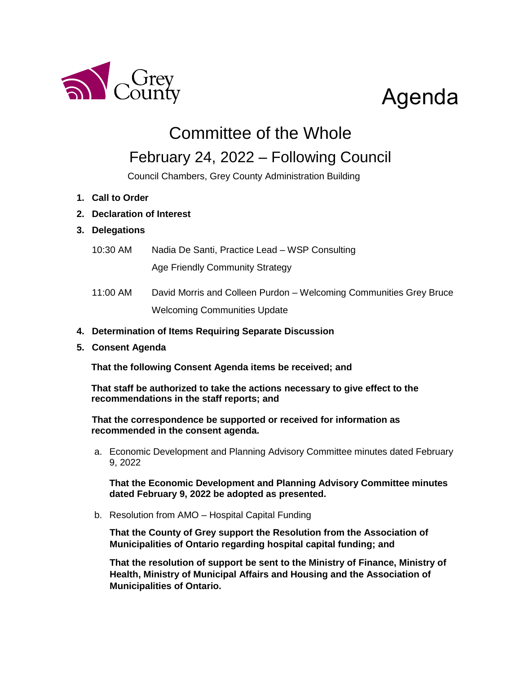

# Agenda

Committee of the Whole

# February 24, 2022 – Following Council

Council Chambers, Grey County Administration Building

- **1. Call to Order**
- **2. Declaration of Interest**

## **3. Delegations**

- 10:30 AM Nadia De Santi, Practice Lead WSP Consulting Age Friendly Community Strategy
- 11:00 AM David Morris and Colleen Purdon Welcoming Communities Grey Bruce Welcoming Communities Update
- **4. Determination of Items Requiring Separate Discussion**
- **5. Consent Agenda**

**That the following Consent Agenda items be received; and**

**That staff be authorized to take the actions necessary to give effect to the recommendations in the staff reports; and**

**That the correspondence be supported or received for information as recommended in the consent agenda.**

a. Economic Development and Planning Advisory Committee minutes dated February 9, 2022

**That the Economic Development and Planning Advisory Committee minutes dated February 9, 2022 be adopted as presented.** 

b. Resolution from AMO – Hospital Capital Funding

**That the County of Grey support the Resolution from the Association of Municipalities of Ontario regarding hospital capital funding; and**

**That the resolution of support be sent to the Ministry of Finance, Ministry of Health, Ministry of Municipal Affairs and Housing and the Association of Municipalities of Ontario.**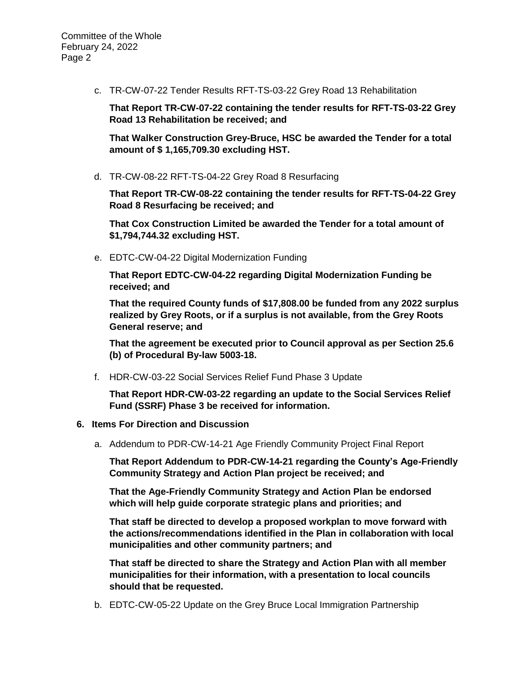c. TR-CW-07-22 Tender Results RFT-TS-03-22 Grey Road 13 Rehabilitation

**That Report TR-CW-07-22 containing the tender results for RFT-TS-03-22 Grey Road 13 Rehabilitation be received; and**

**That Walker Construction Grey-Bruce, HSC be awarded the Tender for a total amount of \$ 1,165,709.30 excluding HST.**

d. TR-CW-08-22 RFT-TS-04-22 Grey Road 8 Resurfacing

**That Report TR-CW-08-22 containing the tender results for RFT-TS-04-22 Grey Road 8 Resurfacing be received; and**

**That Cox Construction Limited be awarded the Tender for a total amount of \$1,794,744.32 excluding HST.**

e. EDTC-CW-04-22 Digital Modernization Funding

**That Report EDTC-CW-04-22 regarding Digital Modernization Funding be received; and** 

**That the required County funds of \$17,808.00 be funded from any 2022 surplus realized by Grey Roots, or if a surplus is not available, from the Grey Roots General reserve; and**

**That the agreement be executed prior to Council approval as per Section 25.6 (b) of Procedural By-law 5003-18.**

f. HDR-CW-03-22 Social Services Relief Fund Phase 3 Update

**That Report HDR-CW-03-22 regarding an update to the Social Services Relief Fund (SSRF) Phase 3 be received for information.**

### **6. Items For Direction and Discussion**

a. Addendum to PDR-CW-14-21 Age Friendly Community Project Final Report

**That Report Addendum to PDR-CW-14-21 regarding the County's Age-Friendly Community Strategy and Action Plan project be received; and**

**That the Age-Friendly Community Strategy and Action Plan be endorsed which will help guide corporate strategic plans and priorities; and**

**That staff be directed to develop a proposed workplan to move forward with the actions/recommendations identified in the Plan in collaboration with local municipalities and other community partners; and**

**That staff be directed to share the Strategy and Action Plan with all member municipalities for their information, with a presentation to local councils should that be requested.** 

b. EDTC-CW-05-22 Update on the Grey Bruce Local Immigration Partnership